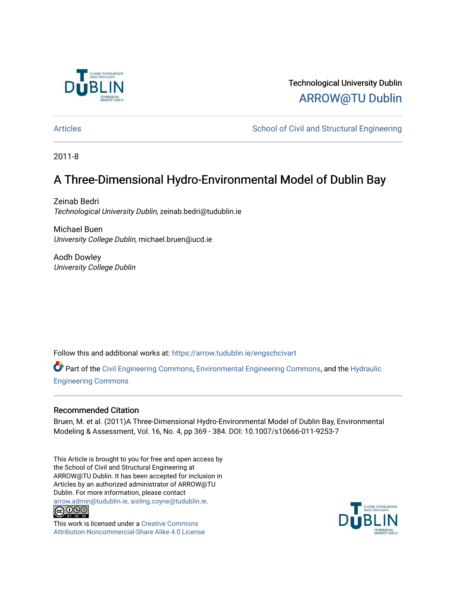

## Technological University Dublin [ARROW@TU Dublin](https://arrow.tudublin.ie/)

[Articles](https://arrow.tudublin.ie/engschcivart) **School of Civil and Structural Engineering** School of Civil and Structural Engineering

2011-8

## A Three-Dimensional Hydro-Environmental Model of Dublin Bay

Zeinab Bedri Technological University Dublin, zeinab.bedri@tudublin.ie

Michael Buen University College Dublin, michael.bruen@ucd.ie

Aodh Dowley University College Dublin

Follow this and additional works at: [https://arrow.tudublin.ie/engschcivart](https://arrow.tudublin.ie/engschcivart?utm_source=arrow.tudublin.ie%2Fengschcivart%2F86&utm_medium=PDF&utm_campaign=PDFCoverPages)

Part of the [Civil Engineering Commons](http://network.bepress.com/hgg/discipline/252?utm_source=arrow.tudublin.ie%2Fengschcivart%2F86&utm_medium=PDF&utm_campaign=PDFCoverPages), [Environmental Engineering Commons,](http://network.bepress.com/hgg/discipline/254?utm_source=arrow.tudublin.ie%2Fengschcivart%2F86&utm_medium=PDF&utm_campaign=PDFCoverPages) and the [Hydraulic](http://network.bepress.com/hgg/discipline/1087?utm_source=arrow.tudublin.ie%2Fengschcivart%2F86&utm_medium=PDF&utm_campaign=PDFCoverPages) [Engineering Commons](http://network.bepress.com/hgg/discipline/1087?utm_source=arrow.tudublin.ie%2Fengschcivart%2F86&utm_medium=PDF&utm_campaign=PDFCoverPages) 

#### Recommended Citation

Bruen, M. et al. (2011)A Three-Dimensional Hydro-Environmental Model of Dublin Bay, Environmental Modeling & Assessment, Vol. 16, No. 4, pp 369 - 384. DOI: 10.1007/s10666-011-9253-7

This Article is brought to you for free and open access by the School of Civil and Structural Engineering at ARROW@TU Dublin. It has been accepted for inclusion in Articles by an authorized administrator of ARROW@TU Dublin. For more information, please contact [arrow.admin@tudublin.ie, aisling.coyne@tudublin.ie](mailto:arrow.admin@tudublin.ie,%20aisling.coyne@tudublin.ie).<br>
co 000



This work is licensed under a [Creative Commons](http://creativecommons.org/licenses/by-nc-sa/4.0/) [Attribution-Noncommercial-Share Alike 4.0 License](http://creativecommons.org/licenses/by-nc-sa/4.0/)

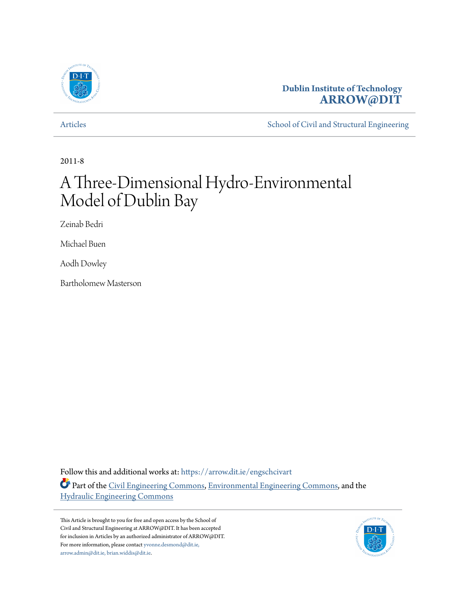

## **Dublin Institute of Technology [ARROW@DIT](https://arrow.dit.ie?utm_source=arrow.dit.ie%2Fengschcivart%2F1&utm_medium=PDF&utm_campaign=PDFCoverPages)**

[Articles](https://arrow.dit.ie/engschcivart?utm_source=arrow.dit.ie%2Fengschcivart%2F1&utm_medium=PDF&utm_campaign=PDFCoverPages) [School of Civil and Structural Engineering](https://arrow.dit.ie/engschciv?utm_source=arrow.dit.ie%2Fengschcivart%2F1&utm_medium=PDF&utm_campaign=PDFCoverPages)

2011-8

# A Three-Dimensional Hydro-Environmental Model of Dublin Bay

Zeinab Bedri

Michael Buen

Aodh Dowley

Bartholomew Masterson

Follow this and additional works at: [https://arrow.dit.ie/engschcivart](https://arrow.dit.ie/engschcivart?utm_source=arrow.dit.ie%2Fengschcivart%2F1&utm_medium=PDF&utm_campaign=PDFCoverPages)

Part of the [Civil Engineering Commons,](http://network.bepress.com/hgg/discipline/252?utm_source=arrow.dit.ie%2Fengschcivart%2F1&utm_medium=PDF&utm_campaign=PDFCoverPages) [Environmental Engineering Commons,](http://network.bepress.com/hgg/discipline/254?utm_source=arrow.dit.ie%2Fengschcivart%2F1&utm_medium=PDF&utm_campaign=PDFCoverPages) and the [Hydraulic Engineering Commons](http://network.bepress.com/hgg/discipline/1087?utm_source=arrow.dit.ie%2Fengschcivart%2F1&utm_medium=PDF&utm_campaign=PDFCoverPages)

This Article is brought to you for free and open access by the School of Civil and Structural Engineering at ARROW@DIT. It has been accepted for inclusion in Articles by an authorized administrator of ARROW@DIT. For more information, please contact [yvonne.desmond@dit.ie,](mailto:yvonne.desmond@dit.ie,%20arrow.admin@dit.ie,%20brian.widdis@dit.ie) [arrow.admin@dit.ie, brian.widdis@dit.ie](mailto:yvonne.desmond@dit.ie,%20arrow.admin@dit.ie,%20brian.widdis@dit.ie).

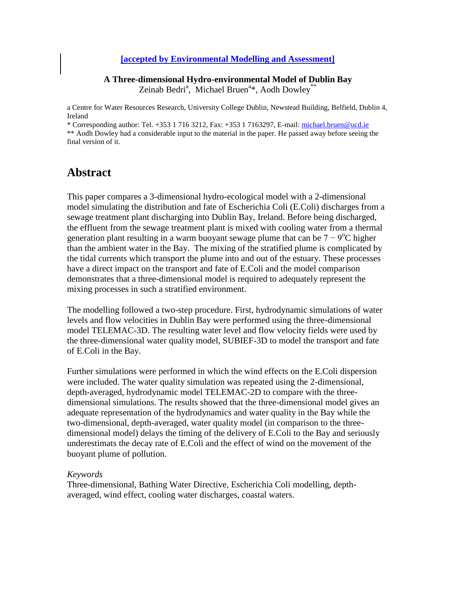#### **[accepted by Environmental Modelling and Assessment]**

**A Three-dimensional Hydro-environmental Model of Dublin Bay** Zeinab Bedri<sup>a</sup>, Michael Bruen<sup>a\*</sup>, Aodh Dowley<sup>\*\*</sup>

a Centre for Water Resources Research, University College Dublin, Newstead Building, Belfield, Dublin 4, Ireland

\* Corresponding author: Tel. +353 1 716 3212, Fax: +353 1 7163297, E-mail: [michael.bruen@ucd.ie](mailto:michael.bruen@ucd.ie) \*\* Aodh Dowley had a considerable input to the material in the paper. He passed away before seeing the final version of it.

## **Abstract**

This paper compares a 3-dimensional hydro-ecological model with a 2-dimensional model simulating the distribution and fate of Escherichia Coli (E.Coli) discharges from a sewage treatment plant discharging into Dublin Bay, Ireland. Before being discharged, the effluent from the sewage treatment plant is mixed with cooling water from a thermal generation plant resulting in a warm buoyant sewage plume that can be  $7 - 9^{\circ}C$  higher than the ambient water in the Bay. The mixing of the stratified plume is complicated by the tidal currents which transport the plume into and out of the estuary. These processes have a direct impact on the transport and fate of E.Coli and the model comparison demonstrates that a three-dimensional model is required to adequately represent the mixing processes in such a stratified environment.

The modelling followed a two-step procedure. First, hydrodynamic simulations of water levels and flow velocities in Dublin Bay were performed using the three-dimensional model TELEMAC-3D. The resulting water level and flow velocity fields were used by the three-dimensional water quality model, SUBIEF-3D to model the transport and fate of E.Coli in the Bay.

Further simulations were performed in which the wind effects on the E.Coli dispersion were included. The water quality simulation was repeated using the 2-dimensional, depth-averaged, hydrodynamic model TELEMAC-2D to compare with the threedimensional simulations. The results showed that the three-dimensional model gives an adequate representation of the hydrodynamics and water quality in the Bay while the two-dimensional, depth-averaged, water quality model (in comparison to the threedimensional model) delays the timing of the delivery of E.Coli to the Bay and seriously underestimats the decay rate of E.Coli and the effect of wind on the movement of the buoyant plume of pollution.

#### *Keywords*

Three-dimensional, Bathing Water Directive, Escherichia Coli modelling, depthaveraged, wind effect, cooling water discharges, coastal waters.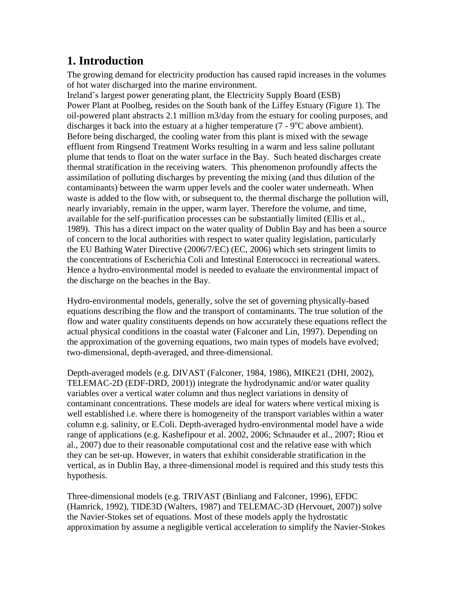## **1. Introduction**

The growing demand for electricity production has caused rapid increases in the volumes of hot water discharged into the marine environment.

Ireland's largest power generating plant, the Electricity Supply Board (ESB) Power Plant at Poolbeg, resides on the South bank of the Liffey Estuary (Figure 1). The oil-powered plant abstracts 2.1 million m3/day from the estuary for cooling purposes, and discharges it back into the estuary at a higher temperature  $(7 - 9^{\circ}C)$  above ambient). Before being discharged, the cooling water from this plant is mixed with the sewage effluent from Ringsend Treatment Works resulting in a warm and less saline pollutant plume that tends to float on the water surface in the Bay. Such heated discharges create thermal stratification in the receiving waters. This phenomenon profoundly affects the assimilation of polluting discharges by preventing the mixing (and thus dilution of the contaminants) between the warm upper levels and the cooler water underneath. When waste is added to the flow with, or subsequent to, the thermal discharge the pollution will, nearly invariably, remain in the upper, warm layer. Therefore the volume, and time, available for the self-purification processes can be substantially limited (Ellis et al., 1989). This has a direct impact on the water quality of Dublin Bay and has been a source of concern to the local authorities with respect to water quality legislation, particularly the EU Bathing Water Directive (2006/7/EC) (EC, 2006) which sets stringent limits to the concentrations of Escherichia Coli and Intestinal Enterococci in recreational waters. Hence a hydro-environmental model is needed to evaluate the environmental impact of the discharge on the beaches in the Bay.

Hydro-environmental models, generally, solve the set of governing physically-based equations describing the flow and the transport of contaminants. The true solution of the flow and water quality constituents depends on how accurately these equations reflect the actual physical conditions in the coastal water (Falconer and Lin, 1997). Depending on the approximation of the governing equations, two main types of models have evolved; two-dimensional, depth-averaged, and three-dimensional.

Depth-averaged models (e.g. DIVAST (Falconer, 1984, 1986), MIKE21 (DHI, 2002), TELEMAC-2D (EDF-DRD, 2001)) integrate the hydrodynamic and/or water quality variables over a vertical water column and thus neglect variations in density of contaminant concentrations. These models are ideal for waters where vertical mixing is well established i.e. where there is homogeneity of the transport variables within a water column e.g. salinity, or E.Coli. Depth-averaged hydro-environmental model have a wide range of applications (e.g. Kashefipour et al. 2002, 2006; Schnauder et al., 2007; Riou et al., 2007) due to their reasonable computational cost and the relative ease with which they can be set-up. However, in waters that exhibit considerable stratification in the vertical, as in Dublin Bay, a three-dimensional model is required and this study tests this hypothesis.

Three-dimensional models (e.g. TRIVAST (Binliang and Falconer, 1996), EFDC (Hamrick, 1992), TIDE3D (Walters, 1987) and TELEMAC-3D (Hervouet, 2007)) solve the Navier-Stokes set of equations. Most of these models apply the hydrostatic approximation by assume a negligible vertical acceleration to simplify the Navier-Stokes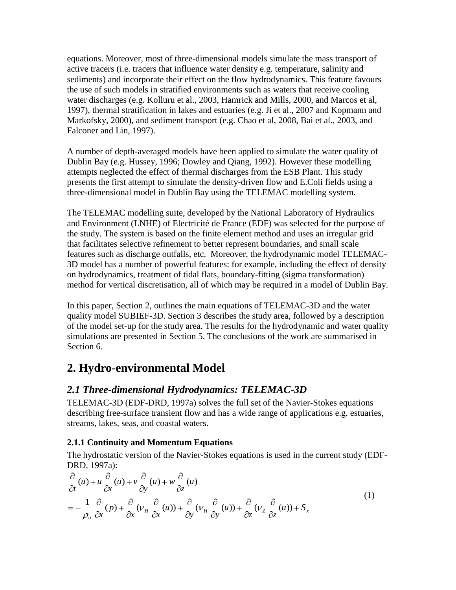equations. Moreover, most of three-dimensional models simulate the mass transport of active tracers (i.e. tracers that influence water density e.g. temperature, salinity and sediments) and incorporate their effect on the flow hydrodynamics. This feature favours the use of such models in stratified environments such as waters that receive cooling water discharges (e.g. Kolluru et al., 2003, Hamrick and Mills, 2000, and Marcos et al, 1997), thermal stratification in lakes and estuaries (e.g. Ji et al., 2007 and Kopmann and Markofsky, 2000), and sediment transport (e.g. Chao et al, 2008, Bai et al., 2003, and Falconer and Lin, 1997).

A number of depth-averaged models have been applied to simulate the water quality of Dublin Bay (e.g. Hussey, 1996; Dowley and Qiang, 1992). However these modelling attempts neglected the effect of thermal discharges from the ESB Plant. This study presents the first attempt to simulate the density-driven flow and E.Coli fields using a three-dimensional model in Dublin Bay using the TELEMAC modelling system.

The TELEMAC modelling suite, developed by the National Laboratory of Hydraulics and Environment (LNHE) of Electricité de France (EDF) was selected for the purpose of the study. The system is based on the finite element method and uses an irregular grid that facilitates selective refinement to better represent boundaries, and small scale features such as discharge outfalls, etc. Moreover, the hydrodynamic model TELEMAC-3D model has a number of powerful features: for example, including the effect of density on hydrodynamics, treatment of tidal flats, boundary-fitting (sigma transformation) method for vertical discretisation, all of which may be required in a model of Dublin Bay.

In this paper, Section 2, outlines the main equations of TELEMAC-3D and the water quality model SUBIEF-3D. Section 3 describes the study area, followed by a description of the model set-up for the study area. The results for the hydrodynamic and water quality simulations are presented in Section 5. The conclusions of the work are summarised in Section 6.

## **2. Hydro-environmental Model**

## *2.1 Three-dimensional Hydrodynamics: TELEMAC-3D*

TELEMAC-3D (EDF-DRD, 1997a) solves the full set of the Navier-Stokes equations describing free-surface transient flow and has a wide range of applications e.g. estuaries, streams, lakes, seas, and coastal waters.

### **2.1.1 Continuity and Momentum Equations**

The hydrostatic version of the Navier-Stokes equations is used in the current study (EDF-DRD, 1997a):

$$
\frac{\partial}{\partial t}(u) + u \frac{\partial}{\partial x}(u) + v \frac{\partial}{\partial y}(u) + w \frac{\partial}{\partial z}(u) \n= -\frac{1}{\rho_o} \frac{\partial}{\partial x}(p) + \frac{\partial}{\partial x}(v_H \frac{\partial}{\partial x}(u)) + \frac{\partial}{\partial y}(v_H \frac{\partial}{\partial y}(u)) + \frac{\partial}{\partial z}(v_Z \frac{\partial}{\partial z}(u)) + S_x
$$
\n(1)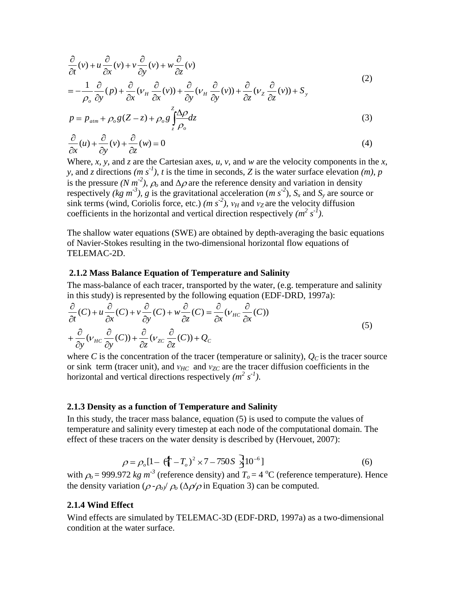$$
\frac{\partial}{\partial t}(v) + u \frac{\partial}{\partial x}(v) + v \frac{\partial}{\partial y}(v) + w \frac{\partial}{\partial z}(v)
$$
\n
$$
\frac{1}{\partial t} \frac{\partial}{\partial x} + \frac{\partial}{\partial y} \frac{\partial}{\partial y} + \frac{\partial}{\partial z} \frac{\partial}{\partial z} + \frac{\partial}{\partial z} \frac{\partial}{\partial z} + \frac{\partial}{\partial z} \frac{\partial}{\partial z}
$$
\n(2)

$$
= -\frac{1}{\rho_o} \frac{\partial}{\partial y} (p) + \frac{\partial}{\partial x} (\nu_H \frac{\partial}{\partial x} (v)) + \frac{\partial}{\partial y} (\nu_H \frac{\partial}{\partial y} (v)) + \frac{\partial}{\partial z} (\nu_z \frac{\partial}{\partial z} (v)) + S_y
$$

$$
p = p_{\text{atm}} + \rho_o g (Z - z) + \rho_o g \int_z \frac{\Delta \rho}{\rho_o} dz
$$
\n(3)

$$
\frac{\partial}{\partial x}(u) + \frac{\partial}{\partial y}(v) + \frac{\partial}{\partial z}(w) = 0
$$
\n(4)

Where, *x*, *y*, and *z* are the Cartesian axes, *u*, *v*, and *w* are the velocity components in the *x*, *y*, and *z* directions *(m s<sup>-1</sup>)*, *t* is the time in seconds, *Z* is the water surface elevation *(m)*, *p* is the pressure  $(N m^2)$ ,  $\rho_0$  and  $\Delta \rho$  are the reference density and variation in density respectively *(kg m<sup>-3</sup>)*, *g* is the gravitational acceleration (*m s<sup>-2</sup>)*,  $S_x$  and  $S_y$  are source or sink terms (wind, Coriolis force, etc.)  $(m s<sup>2</sup>)$ ,  $v<sub>H</sub>$  and  $v<sub>Z</sub>$  are the velocity diffusion coefficients in the horizontal and vertical direction respectively  $(m^2 s^1)$ .

The shallow water equations (SWE) are obtained by depth-averaging the basic equations of Navier-Stokes resulting in the two-dimensional horizontal flow equations of TELEMAC-2D.

#### **2.1.2 Mass Balance Equation of Temperature and Salinity**

The mass-balance of each tracer, transported by the water, (e.g. temperature and salinity in this study) is represented by the following equation (EDF-DRD, 1997a):

$$
\frac{\partial}{\partial t}(C) + u \frac{\partial}{\partial x}(C) + v \frac{\partial}{\partial y}(C) + w \frac{\partial}{\partial z}(C) = \frac{\partial}{\partial x}(v_{HC} \frac{\partial}{\partial x}(C)) \n+ \frac{\partial}{\partial y}(v_{HC} \frac{\partial}{\partial y}(C)) + \frac{\partial}{\partial z}(v_{ZC} \frac{\partial}{\partial z}(C)) + Q_{C}
$$
\n(5)

where *C* is the concentration of the tracer (temperature or salinity),  $Q_C$  is the tracer source or sink term (tracer unit), and *ν<sub>HC</sub>* and *ν<sub>ZC</sub>* are the tracer diffusion coefficients in the horizontal and vertical directions respectively  $(m^2 s^1)$ .

#### **2.1.3 Density as a function of Temperature and Salinity**

In this study, the tracer mass balance, equation (5) is used to compute the values of temperature and salinity every timestep at each node of the computational domain. The effect of these tracers on the water density is described by (Hervouet, 2007):

$$
\rho = \rho_o [1 - (\hat{T} - T_o)^2 \times 7 - 750S \frac{1}{2} 10^{-6}]
$$
\n(6)

with  $\rho_o$  = 999.972 *kg m<sup>-3</sup>* (reference density) and  $T_o$  = 4 <sup>o</sup>C (reference temperature). Hence the density variation ( $\rho$  - $\rho_o$ )  $\rho_o$  ( $\Delta \rho / \rho$  in Equation 3) can be computed.

#### **2.1.4 Wind Effect**

Wind effects are simulated by TELEMAC-3D (EDF-DRD, 1997a) as a two-dimensional condition at the water surface.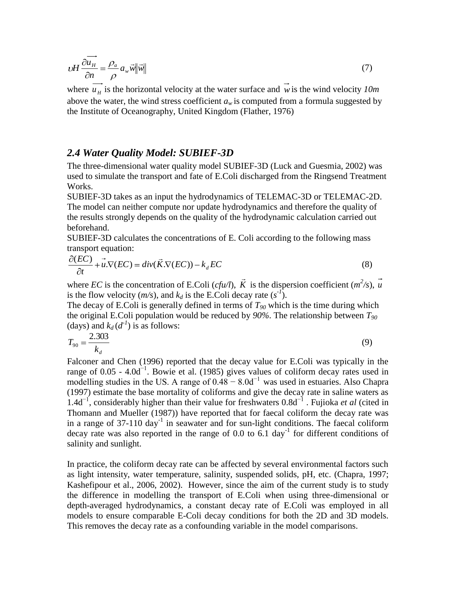$$
\nu H \frac{\partial \overrightarrow{u_H}}{\partial n} = \frac{\rho_a}{\rho} a_w \vec{w} ||\vec{w}|| \tag{7}
$$

where  $u_{\mu}$  is the horizontal velocity at the water surface and w is the wind velocity  $10m$ above the water, the wind stress coefficient  $a_w$  is computed from a formula suggested by the Institute of Oceanography, United Kingdom (Flather, 1976)

#### *2.4 Water Quality Model: SUBIEF-3D*

The three-dimensional water quality model SUBIEF-3D (Luck and Guesmia, 2002) was used to simulate the transport and fate of E.Coli discharged from the Ringsend Treatment Works.

SUBIEF-3D takes as an input the hydrodynamics of TELEMAC-3D or TELEMAC-2D. The model can neither compute nor update hydrodynamics and therefore the quality of the results strongly depends on the quality of the hydrodynamic calculation carried out beforehand.

SUBIEF-3D calculates the concentrations of E. Coli according to the following mass transport equation:

$$
\frac{\partial (EC)}{\partial t} + u \cdot \nabla (EC) = div(\vec{K} \cdot \nabla (EC)) - k_d EC
$$
\n(8)

where *EC* is the concentration of E.Coli (*cfu/l*), *K* is the dispersion coefficient  $(m^2/s)$ ,  $\vec{u}$ is the flow velocity  $(m/s)$ , and  $k_d$  is the E.Coli decay rate  $(s<sup>-1</sup>)$ .

The decay of E.Coli is generally defined in terms of *T<sup>90</sup>* which is the time during which the original E.Coli population would be reduced by *90%*. The relationship between *T<sup>90</sup>* (days) and  $k_d$  ( $d<sup>-1</sup>$ ) is as follows:

$$
T_{90} = \frac{2.303}{k_d} \tag{9}
$$

Falconer and Chen (1996) reported that the decay value for E.Coli was typically in the range of 0.05 - 4.0d<sup> $^{-1}$ </sup>. Bowie et al. (1985) gives values of coliform decay rates used in modelling studies in the US. A range of  $0.48 - 8.0d^{-1}$  was used in estuaries. Also Chapra (1997) estimate the base mortality of coliforms and give the decay rate in saline waters as 1.4d−1, considerably higher than their value for freshwaters 0.8d−1 . Fujioka *et al* (cited in Thomann and Mueller (1987)) have reported that for faecal coliform the decay rate was in a range of  $37-110 \text{ day}^{-1}$  in seawater and for sun-light conditions. The faecal coliform decay rate was also reported in the range of 0.0 to  $6.1 \text{ day}^{-1}$  for different conditions of salinity and sunlight.

In practice, the coliform decay rate can be affected by several environmental factors such as light intensity, water temperature, salinity, suspended solids, pH, etc. (Chapra, 1997; Kashefipour et al., 2006, 2002). However, since the aim of the current study is to study the difference in modelling the transport of E.Coli when using three-dimensional or depth-averaged hydrodynamics, a constant decay rate of E.Coli was employed in all models to ensure comparable E-Coli decay conditions for both the 2D and 3D models. This removes the decay rate as a confounding variable in the model comparisons.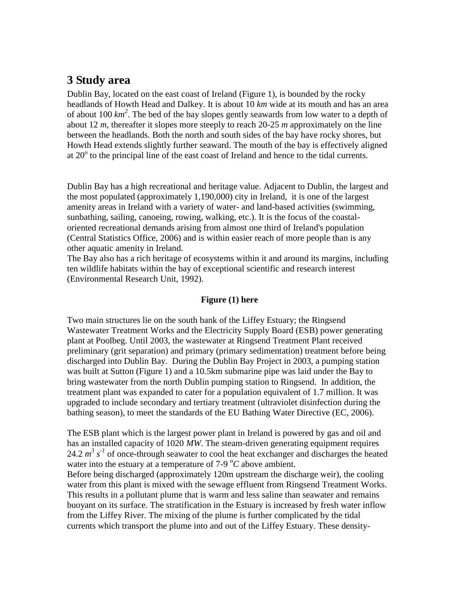## **3 Study area**

Dublin Bay, located on the east coast of Ireland (Figure 1), is bounded by the rocky headlands of Howth Head and Dalkey. It is about 10 *km* wide at its mouth and has an area of about 100 *km<sup>2</sup>* . The bed of the bay slopes gently seawards from low water to a depth of about 12 *m*, thereafter it slopes more steeply to reach 20-25 *m* approximately on the line between the headlands. Both the north and south sides of the bay have rocky shores, but Howth Head extends slightly further seaward. The mouth of the bay is effectively aligned at 20° to the principal line of the east coast of Ireland and hence to the tidal currents.

Dublin Bay has a high recreational and heritage value. Adjacent to Dublin, the largest and the most populated (approximately 1,190,000) city in Ireland, it is one of the largest amenity areas in Ireland with a variety of water- and land-based activities (swimming, sunbathing, sailing, canoeing, rowing, walking, etc.). It is the focus of the coastaloriented recreational demands arising from almost one third of Ireland's population (Central Statistics Office, 2006) and is within easier reach of more people than is any other aquatic amenity in Ireland.

The Bay also has a rich heritage of ecosystems within it and around its margins, including ten wildlife habitats within the bay of exceptional scientific and research interest (Environmental Research Unit, 1992).

#### **Figure (1) here**

Two main structures lie on the south bank of the Liffey Estuary; the Ringsend Wastewater Treatment Works and the Electricity Supply Board (ESB) power generating plant at Poolbeg. Until 2003, the wastewater at Ringsend Treatment Plant received preliminary (grit separation) and primary (primary sedimentation) treatment before being discharged into Dublin Bay. During the Dublin Bay Project in 2003, a pumping station was built at Sutton (Figure 1) and a 10.5km submarine pipe was laid under the Bay to bring wastewater from the north Dublin pumping station to Ringsend. In addition, the treatment plant was expanded to cater for a population equivalent of 1.7 million. It was upgraded to include secondary and tertiary treatment (ultraviolet disinfection during the bathing season), to meet the standards of the EU Bathing Water Directive (EC, 2006).

The ESB plant which is the largest power plant in Ireland is powered by gas and oil and has an installed capacity of 1020 *MW*. The steam-driven generating equipment requires 24.2  $m^3 s^1$  of once-through seawater to cool the heat exchanger and discharges the heated water into the estuary at a temperature of 7-9  $^{\circ}$ C above ambient. Before being discharged (approximately 120m upstream the discharge weir), the cooling water from this plant is mixed with the sewage effluent from Ringsend Treatment Works. This results in a pollutant plume that is warm and less saline than seawater and remains buoyant on its surface. The stratification in the Estuary is increased by fresh water inflow from the Liffey River. The mixing of the plume is further complicated by the tidal currents which transport the plume into and out of the Liffey Estuary. These density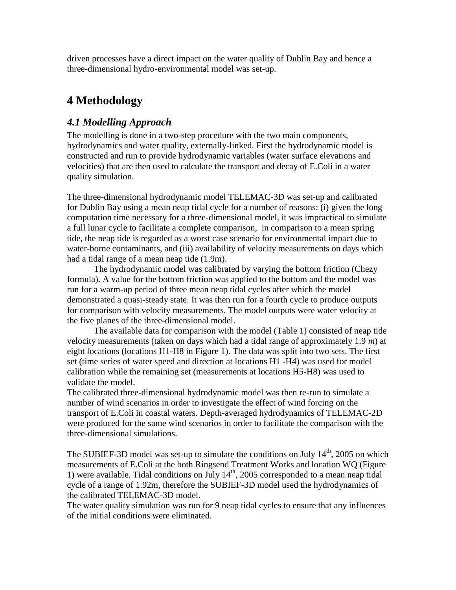driven processes have a direct impact on the water quality of Dublin Bay and hence a three-dimensional hydro-environmental model was set-up.

## **4 Methodology**

## *4.1 Modelling Approach*

The modelling is done in a two-step procedure with the two main components, hydrodynamics and water quality, externally-linked. First the hydrodynamic model is constructed and run to provide hydrodynamic variables (water surface elevations and velocities) that are then used to calculate the transport and decay of E.Coli in a water quality simulation.

The three-dimensional hydrodynamic model TELEMAC-3D was set-up and calibrated for Dublin Bay using a mean neap tidal cycle for a number of reasons: (i) given the long computation time necessary for a three-dimensional model, it was impractical to simulate a full lunar cycle to facilitate a complete comparison, in comparison to a mean spring tide, the neap tide is regarded as a worst case scenario for environmental impact due to water-borne contaminants, and (iii) availability of velocity measurements on days which had a tidal range of a mean neap tide (1.9m).

The hydrodynamic model was calibrated by varying the bottom friction (Chezy formula). A value for the bottom friction was applied to the bottom and the model was run for a warm-up period of three mean neap tidal cycles after which the model demonstrated a quasi-steady state. It was then run for a fourth cycle to produce outputs for comparison with velocity measurements. The model outputs were water velocity at the five planes of the three-dimensional model.

The available data for comparison with the model (Table 1) consisted of neap tide velocity measurements (taken on days which had a tidal range of approximately 1.9 *m*) at eight locations (locations H1-H8 in Figure 1). The data was split into two sets. The first set (time series of water speed and direction at locations H1 -H4) was used for model calibration while the remaining set (measurements at locations H5-H8) was used to validate the model.

The calibrated three-dimensional hydrodynamic model was then re-run to simulate a number of wind scenarios in order to investigate the effect of wind forcing on the transport of E.Coli in coastal waters. Depth-averaged hydrodynamics of TELEMAC-2D were produced for the same wind scenarios in order to facilitate the comparison with the three-dimensional simulations.

The SUBIEF-3D model was set-up to simulate the conditions on July  $14<sup>th</sup>$ , 2005 on which measurements of E.Coli at the both Ringsend Treatment Works and location WQ (Figure 1) were available. Tidal conditions on July  $14<sup>th</sup>$ , 2005 corresponded to a mean neap tidal cycle of a range of 1.92m, therefore the SUBIEF-3D model used the hydrodynamics of the calibrated TELEMAC-3D model.

The water quality simulation was run for 9 neap tidal cycles to ensure that any influences of the initial conditions were eliminated.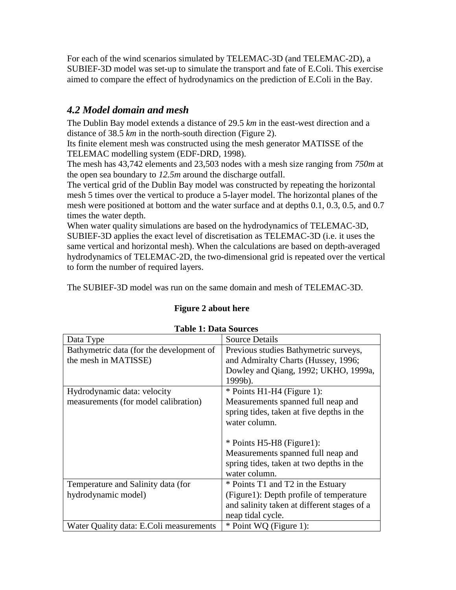For each of the wind scenarios simulated by TELEMAC-3D (and TELEMAC-2D), a SUBIEF-3D model was set-up to simulate the transport and fate of E.Coli. This exercise aimed to compare the effect of hydrodynamics on the prediction of E.Coli in the Bay.

## *4.2 Model domain and mesh*

The Dublin Bay model extends a distance of 29.5 *km* in the east-west direction and a distance of 38.5 *km* in the north-south direction (Figure 2).

Its finite element mesh was constructed using the mesh generator MATISSE of the TELEMAC modelling system (EDF-DRD, 1998).

The mesh has 43,742 elements and 23,503 nodes with a mesh size ranging from *750m* at the open sea boundary to *12.5m* around the discharge outfall.

The vertical grid of the Dublin Bay model was constructed by repeating the horizontal mesh 5 times over the vertical to produce a 5-layer model. The horizontal planes of the mesh were positioned at bottom and the water surface and at depths 0.1, 0.3, 0.5, and 0.7 times the water depth.

When water quality simulations are based on the hydrodynamics of TELEMAC-3D, SUBIEF-3D applies the exact level of discretisation as TELEMAC-3D (i.e. it uses the same vertical and horizontal mesh). When the calculations are based on depth-averaged hydrodynamics of TELEMAC-2D, the two-dimensional grid is repeated over the vertical to form the number of required layers.

The SUBIEF-3D model was run on the same domain and mesh of TELEMAC-3D.

### **Figure 2 about here**

| Taine T. Dala wurtes                     |                                             |  |  |  |  |  |
|------------------------------------------|---------------------------------------------|--|--|--|--|--|
| Data Type                                | <b>Source Details</b>                       |  |  |  |  |  |
| Bathymetric data (for the development of | Previous studies Bathymetric surveys,       |  |  |  |  |  |
| the mesh in MATISSE)                     | and Admiralty Charts (Hussey, 1996;         |  |  |  |  |  |
|                                          | Dowley and Qiang, 1992; UKHO, 1999a,        |  |  |  |  |  |
|                                          | 1999b).                                     |  |  |  |  |  |
| Hydrodynamic data: velocity              | $*$ Points H1-H4 (Figure 1):                |  |  |  |  |  |
| measurements (for model calibration)     | Measurements spanned full neap and          |  |  |  |  |  |
|                                          | spring tides, taken at five depths in the   |  |  |  |  |  |
|                                          | water column.                               |  |  |  |  |  |
|                                          |                                             |  |  |  |  |  |
|                                          | * Points H5-H8 (Figure1):                   |  |  |  |  |  |
|                                          | Measurements spanned full neap and          |  |  |  |  |  |
|                                          | spring tides, taken at two depths in the    |  |  |  |  |  |
|                                          | water column.                               |  |  |  |  |  |
| Temperature and Salinity data (for       | * Points T1 and T2 in the Estuary           |  |  |  |  |  |
| hydrodynamic model)                      | (Figure1): Depth profile of temperature     |  |  |  |  |  |
|                                          | and salinity taken at different stages of a |  |  |  |  |  |
|                                          | neap tidal cycle.                           |  |  |  |  |  |
| Water Quality data: E.Coli measurements  | * Point WQ (Figure 1):                      |  |  |  |  |  |

### **Table 1: Data Sources**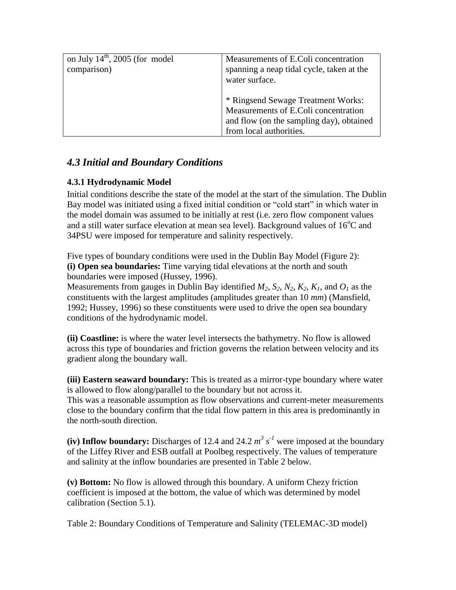| on July $14^{\text{th}}$ , 2005 (for model<br>comparison) | Measurements of E.Coli concentration<br>spanning a neap tidal cycle, taken at the<br>water surface.                                               |  |
|-----------------------------------------------------------|---------------------------------------------------------------------------------------------------------------------------------------------------|--|
|                                                           | * Ringsend Sewage Treatment Works:<br>Measurements of E.Coli concentration<br>and flow (on the sampling day), obtained<br>from local authorities. |  |

## *4.3 Initial and Boundary Conditions*

### **4.3.1 Hydrodynamic Model**

Initial conditions describe the state of the model at the start of the simulation. The Dublin Bay model was initiated using a fixed initial condition or "cold start" in which water in the model domain was assumed to be initially at rest (i.e. zero flow component values and a still water surface elevation at mean sea level). Background values of  $16^{\circ}$ C and 34PSU were imposed for temperature and salinity respectively.

Five types of boundary conditions were used in the Dublin Bay Model (Figure 2): **(i) Open sea boundaries:** Time varying tidal elevations at the north and south boundaries were imposed (Hussey, 1996).

Measurements from gauges in Dublin Bay identified  $M_2$ ,  $S_2$ ,  $N_2$ ,  $K_2$ ,  $K_1$ , and  $O_1$  as the constituents with the largest amplitudes (amplitudes greater than 10 *mm*) (Mansfield, 1992; Hussey, 1996) so these constituents were used to drive the open sea boundary conditions of the hydrodynamic model.

**(ii) Coastline:** is where the water level intersects the bathymetry. No flow is allowed across this type of boundaries and friction governs the relation between velocity and its gradient along the boundary wall.

**(iii) Eastern seaward boundary:** This is treated as a mirror-type boundary where water is allowed to flow along/parallel to the boundary but not across it.

This was a reasonable assumption as flow observations and current-meter measurements close to the boundary confirm that the tidal flow pattern in this area is predominantly in the north-south direction.

(iv) Inflow boundary: Discharges of 12.4 and 24.2  $m^3 s^{-1}$  were imposed at the boundary of the Liffey River and ESB outfall at Poolbeg respectively. The values of temperature and salinity at the inflow boundaries are presented in Table 2 below.

**(v) Bottom:** No flow is allowed through this boundary. A uniform Chezy friction coefficient is imposed at the bottom, the value of which was determined by model calibration (Section 5.1).

Table 2: Boundary Conditions of Temperature and Salinity (TELEMAC-3D model)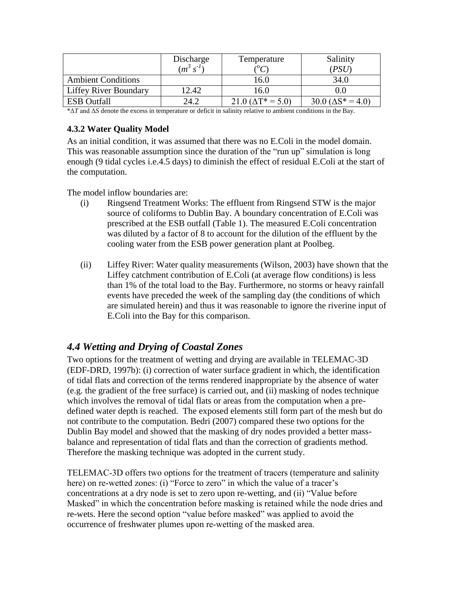|                              | Discharge<br>$(m^3)$ | Temperature<br>$\sqrt{10}$  | Salinity<br>PSU              |
|------------------------------|----------------------|-----------------------------|------------------------------|
| <b>Ambient Conditions</b>    |                      | 16.0                        | 34.0                         |
| <b>Liffey River Boundary</b> | 12.42                | 16.0                        |                              |
| <b>ESB</b> Outfall           | 24.2                 | $21.0 \,(\Delta T^* = 5.0)$ | $30.0 \, (\Delta S^* = 4.0)$ |

\*Δ*T* and Δ*S* denote the excess in temperature or deficit in salinity relative to ambient conditions in the Bay.

### **4.3.2 Water Quality Model**

As an initial condition, it was assumed that there was no E.Coli in the model domain. This was reasonable assumption since the duration of the "run up" simulation is long enough (9 tidal cycles i.e.4.5 days) to diminish the effect of residual E.Coli at the start of the computation.

The model inflow boundaries are:

- (i) Ringsend Treatment Works: The effluent from Ringsend STW is the major source of coliforms to Dublin Bay. A boundary concentration of E.Coli was prescribed at the ESB outfall (Table 1). The measured E.Coli concentration was diluted by a factor of 8 to account for the dilution of the effluent by the cooling water from the ESB power generation plant at Poolbeg.
- (ii) Liffey River: Water quality measurements (Wilson, 2003) have shown that the Liffey catchment contribution of E.Coli (at average flow conditions) is less than 1% of the total load to the Bay. Furthermore, no storms or heavy rainfall events have preceded the week of the sampling day (the conditions of which are simulated herein) and thus it was reasonable to ignore the riverine input of E.Coli into the Bay for this comparison.

## *4.4 Wetting and Drying of Coastal Zones*

Two options for the treatment of wetting and drying are available in TELEMAC-3D (EDF-DRD, 1997b): (i) correction of water surface gradient in which, the identification of tidal flats and correction of the terms rendered inappropriate by the absence of water (e.g. the gradient of the free surface) is carried out, and (ii) masking of nodes technique which involves the removal of tidal flats or areas from the computation when a predefined water depth is reached. The exposed elements still form part of the mesh but do not contribute to the computation. Bedri (2007) compared these two options for the Dublin Bay model and showed that the masking of dry nodes provided a better massbalance and representation of tidal flats and than the correction of gradients method. Therefore the masking technique was adopted in the current study.

TELEMAC-3D offers two options for the treatment of tracers (temperature and salinity here) on re-wetted zones: (i) "Force to zero" in which the value of a tracer's concentrations at a dry node is set to zero upon re-wetting, and (ii) "Value before Masked" in which the concentration before masking is retained while the node dries and re-wets. Here the second option "value before masked" was applied to avoid the occurrence of freshwater plumes upon re-wetting of the masked area.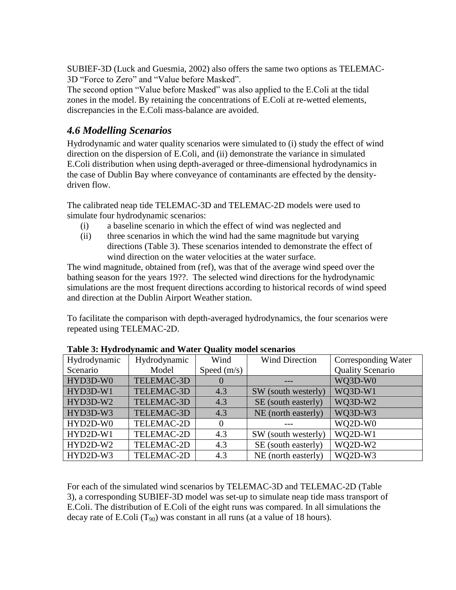SUBIEF-3D (Luck and Guesmia, 2002) also offers the same two options as TELEMAC-3D "Force to Zero" and "Value before Masked".

The second option "Value before Masked" was also applied to the E.Coli at the tidal zones in the model. By retaining the concentrations of E.Coli at re-wetted elements, discrepancies in the E.Coli mass-balance are avoided.

## *4.6 Modelling Scenarios*

Hydrodynamic and water quality scenarios were simulated to (i) study the effect of wind direction on the dispersion of E.Coli, and (ii) demonstrate the variance in simulated E.Coli distribution when using depth-averaged or three-dimensional hydrodynamics in the case of Dublin Bay where conveyance of contaminants are effected by the densitydriven flow.

The calibrated neap tide TELEMAC-3D and TELEMAC-2D models were used to simulate four hydrodynamic scenarios:

- (i) a baseline scenario in which the effect of wind was neglected and
- (ii) three scenarios in which the wind had the same magnitude but varying directions (Table 3). These scenarios intended to demonstrate the effect of wind direction on the water velocities at the water surface.

The wind magnitude, obtained from (ref), was that of the average wind speed over the bathing season for the years 19??. The selected wind directions for the hydrodynamic simulations are the most frequent directions according to historical records of wind speed and direction at the Dublin Airport Weather station.

To facilitate the comparison with depth-averaged hydrodynamics, the four scenarios were repeated using TELEMAC-2D.

| Hydrodynamic | Hydrodynamic | Wind          | <b>Wind Direction</b> | Corresponding Water     |
|--------------|--------------|---------------|-----------------------|-------------------------|
| Scenario     | Model        | Speed $(m/s)$ |                       | <b>Quality Scenario</b> |
| HYD3D-W0     | TELEMAC-3D   |               |                       | WQ3D-W0                 |
| HYD3D-W1     | TELEMAC-3D   | 4.3           | SW (south westerly)   | WQ3D-W1                 |
| HYD3D-W2     | TELEMAC-3D   | 4.3           | SE (south easterly)   | WQ3D-W2                 |
| HYD3D-W3     | TELEMAC-3D   | 4.3           | NE (north easterly)   | WQ3D-W3                 |
| HYD2D-W0     | TELEMAC-2D   |               |                       | WQ2D-W0                 |
| HYD2D-W1     | TELEMAC-2D   | 4.3           | SW (south westerly)   | $WQ2D-W1$               |
| HYD2D-W2     | TELEMAC-2D   | 4.3           | SE (south easterly)   | WQ2D-W2                 |
| HYD2D-W3     | TELEMAC-2D   | 4.3           | NE (north easterly)   | WO2D-W3                 |

**Table 3: Hydrodynamic and Water Quality model scenarios**

For each of the simulated wind scenarios by TELEMAC-3D and TELEMAC-2D (Table 3), a corresponding SUBIEF-3D model was set-up to simulate neap tide mass transport of E.Coli. The distribution of E.Coli of the eight runs was compared. In all simulations the decay rate of E.Coli  $(T_{90})$  was constant in all runs (at a value of 18 hours).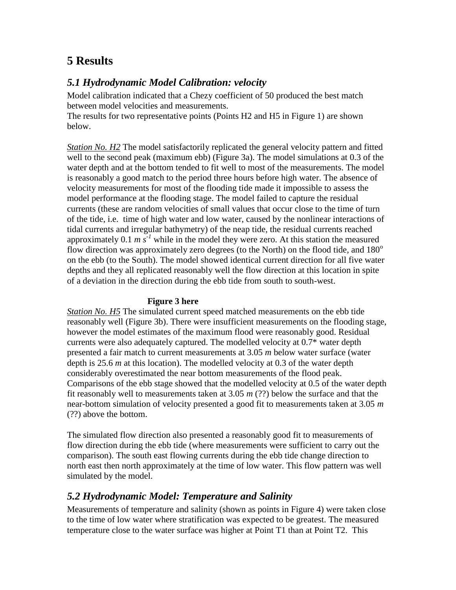## **5 Results**

## *5.1 Hydrodynamic Model Calibration: velocity*

Model calibration indicated that a Chezy coefficient of 50 produced the best match between model velocities and measurements.

The results for two representative points (Points H2 and H5 in Figure 1) are shown below.

*Station No. H2* The model satisfactorily replicated the general velocity pattern and fitted well to the second peak (maximum ebb) (Figure 3a). The model simulations at 0.3 of the water depth and at the bottom tended to fit well to most of the measurements. The model is reasonably a good match to the period three hours before high water. The absence of velocity measurements for most of the flooding tide made it impossible to assess the model performance at the flooding stage. The model failed to capture the residual currents (these are random velocities of small values that occur close to the time of turn of the tide, i.e. time of high water and low water, caused by the nonlinear interactions of tidal currents and irregular bathymetry) of the neap tide, the residual currents reached approximately  $0.1 \text{ m s}^{-1}$  while in the model they were zero. At this station the measured flow direction was approximately zero degrees (to the North) on the flood tide, and  $180^\circ$ on the ebb (to the South). The model showed identical current direction for all five water depths and they all replicated reasonably well the flow direction at this location in spite of a deviation in the direction during the ebb tide from south to south-west.

### **Figure 3 here**

*Station No. H5* The simulated current speed matched measurements on the ebb tide reasonably well (Figure 3b). There were insufficient measurements on the flooding stage, however the model estimates of the maximum flood were reasonably good. Residual currents were also adequately captured. The modelled velocity at 0.7\* water depth presented a fair match to current measurements at 3.05 *m* below water surface (water depth is 25.6 *m* at this location). The modelled velocity at 0.3 of the water depth considerably overestimated the near bottom measurements of the flood peak. Comparisons of the ebb stage showed that the modelled velocity at 0.5 of the water depth fit reasonably well to measurements taken at 3.05 *m* (??) below the surface and that the near-bottom simulation of velocity presented a good fit to measurements taken at 3.05 *m* (??) above the bottom.

The simulated flow direction also presented a reasonably good fit to measurements of flow direction during the ebb tide (where measurements were sufficient to carry out the comparison). The south east flowing currents during the ebb tide change direction to north east then north approximately at the time of low water. This flow pattern was well simulated by the model.

## *5.2 Hydrodynamic Model: Temperature and Salinity*

Measurements of temperature and salinity (shown as points in Figure 4) were taken close to the time of low water where stratification was expected to be greatest. The measured temperature close to the water surface was higher at Point T1 than at Point T2. This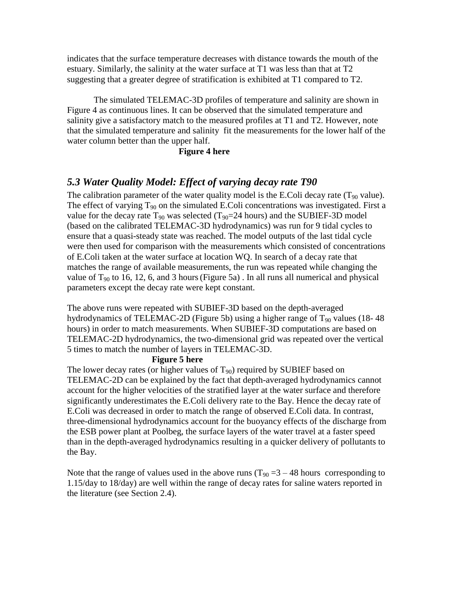indicates that the surface temperature decreases with distance towards the mouth of the estuary. Similarly, the salinity at the water surface at T1 was less than that at T2 suggesting that a greater degree of stratification is exhibited at T1 compared to T2.

The simulated TELEMAC-3D profiles of temperature and salinity are shown in Figure 4 as continuous lines. It can be observed that the simulated temperature and salinity give a satisfactory match to the measured profiles at T1 and T2. However, note that the simulated temperature and salinity fit the measurements for the lower half of the water column better than the upper half.

#### **Figure 4 here**

### *5.3 Water Quality Model: Effect of varying decay rate T90*

The calibration parameter of the water quality model is the E.Coli decay rate  $(T_{90}$  value). The effect of varying  $T_{90}$  on the simulated E.Coli concentrations was investigated. First a value for the decay rate  $T_{90}$  was selected ( $T_{90}=24$  hours) and the SUBIEF-3D model (based on the calibrated TELEMAC-3D hydrodynamics) was run for 9 tidal cycles to ensure that a quasi-steady state was reached. The model outputs of the last tidal cycle were then used for comparison with the measurements which consisted of concentrations of E.Coli taken at the water surface at location WQ. In search of a decay rate that matches the range of available measurements, the run was repeated while changing the value of  $T_{90}$  to 16, 12, 6, and 3 hours (Figure 5a). In all runs all numerical and physical parameters except the decay rate were kept constant.

The above runs were repeated with SUBIEF-3D based on the depth-averaged hydrodynamics of TELEMAC-2D (Figure 5b) using a higher range of  $T_{90}$  values (18-48) hours) in order to match measurements. When SUBIEF-3D computations are based on TELEMAC-2D hydrodynamics, the two-dimensional grid was repeated over the vertical 5 times to match the number of layers in TELEMAC-3D.

#### **Figure 5 here**

The lower decay rates (or higher values of  $T_{90}$ ) required by SUBIEF based on TELEMAC-2D can be explained by the fact that depth-averaged hydrodynamics cannot account for the higher velocities of the stratified layer at the water surface and therefore significantly underestimates the E.Coli delivery rate to the Bay. Hence the decay rate of E.Coli was decreased in order to match the range of observed E.Coli data. In contrast, three-dimensional hydrodynamics account for the buoyancy effects of the discharge from the ESB power plant at Poolbeg, the surface layers of the water travel at a faster speed than in the depth-averaged hydrodynamics resulting in a quicker delivery of pollutants to the Bay.

Note that the range of values used in the above runs  $(T_{90} = 3 - 48$  hours corresponding to 1.15/day to 18/day) are well within the range of decay rates for saline waters reported in the literature (see Section 2.4).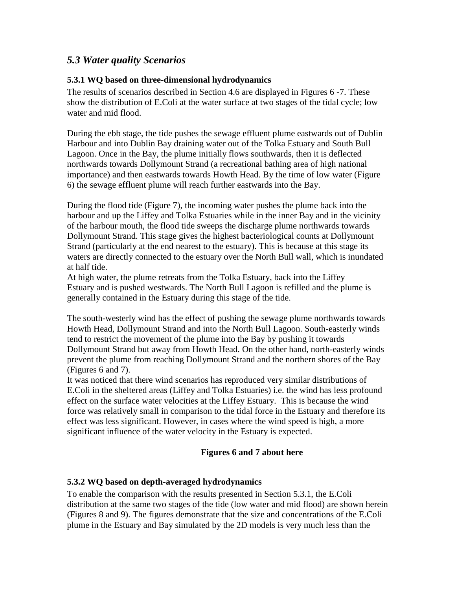## *5.3 Water quality Scenarios*

#### **5.3.1 WQ based on three-dimensional hydrodynamics**

The results of scenarios described in Section 4.6 are displayed in Figures 6 -7. These show the distribution of E.Coli at the water surface at two stages of the tidal cycle; low water and mid flood.

During the ebb stage, the tide pushes the sewage effluent plume eastwards out of Dublin Harbour and into Dublin Bay draining water out of the Tolka Estuary and South Bull Lagoon. Once in the Bay, the plume initially flows southwards, then it is deflected northwards towards Dollymount Strand (a recreational bathing area of high national importance) and then eastwards towards Howth Head. By the time of low water (Figure 6) the sewage effluent plume will reach further eastwards into the Bay.

During the flood tide (Figure 7), the incoming water pushes the plume back into the harbour and up the Liffey and Tolka Estuaries while in the inner Bay and in the vicinity of the harbour mouth, the flood tide sweeps the discharge plume northwards towards Dollymount Strand. This stage gives the highest bacteriological counts at Dollymount Strand (particularly at the end nearest to the estuary). This is because at this stage its waters are directly connected to the estuary over the North Bull wall, which is inundated at half tide.

At high water, the plume retreats from the Tolka Estuary, back into the Liffey Estuary and is pushed westwards. The North Bull Lagoon is refilled and the plume is generally contained in the Estuary during this stage of the tide.

The south-westerly wind has the effect of pushing the sewage plume northwards towards Howth Head, Dollymount Strand and into the North Bull Lagoon. South-easterly winds tend to restrict the movement of the plume into the Bay by pushing it towards Dollymount Strand but away from Howth Head. On the other hand, north-easterly winds prevent the plume from reaching Dollymount Strand and the northern shores of the Bay (Figures 6 and 7).

It was noticed that there wind scenarios has reproduced very similar distributions of E.Coli in the sheltered areas (Liffey and Tolka Estuaries) i.e. the wind has less profound effect on the surface water velocities at the Liffey Estuary. This is because the wind force was relatively small in comparison to the tidal force in the Estuary and therefore its effect was less significant. However, in cases where the wind speed is high, a more significant influence of the water velocity in the Estuary is expected.

### **Figures 6 and 7 about here**

### **5.3.2 WQ based on depth-averaged hydrodynamics**

To enable the comparison with the results presented in Section 5.3.1, the E.Coli distribution at the same two stages of the tide (low water and mid flood) are shown herein (Figures 8 and 9). The figures demonstrate that the size and concentrations of the E.Coli plume in the Estuary and Bay simulated by the 2D models is very much less than the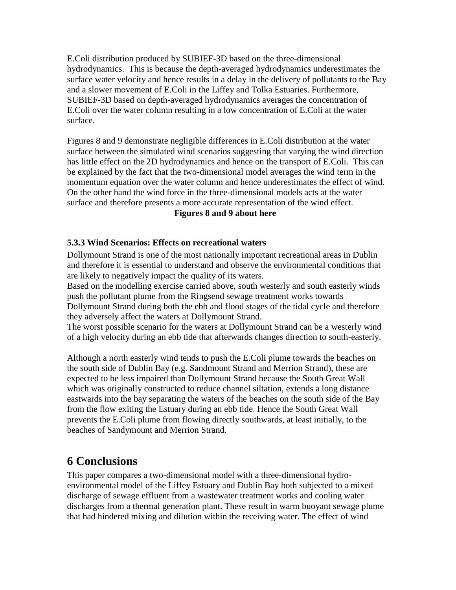E.Coli distribution produced by SUBIEF-3D based on the three-dimensional hydrodynamics. This is because the depth-averaged hydrodynamics underestimates the surface water velocity and hence results in a delay in the delivery of pollutants to the Bay and a slower movement of E.Coli in the Liffey and Tolka Estuaries. Furthermore, SUBIEF-3D based on depth-averaged hydrodynamics averages the concentration of E.Coli over the water column resulting in a low concentration of E.Coli at the water surface.

Figures 8 and 9 demonstrate negligible differences in E.Coli distribution at the water surface between the simulated wind scenarios suggesting that varying the wind direction has little effect on the 2D hydrodynamics and hence on the transport of E.Coli. This can be explained by the fact that the two-dimensional model averages the wind term in the momentum equation over the water column and hence underestimates the effect of wind. On the other hand the wind force in the three-dimensional models acts at the water surface and therefore presents a more accurate representation of the wind effect.

**Figures 8 and 9 about here**

### **5.3.3 Wind Scenarios: Effects on recreational waters**

Dollymount Strand is one of the most nationally important recreational areas in Dublin and therefore it is essential to understand and observe the environmental conditions that are likely to negatively impact the quality of its waters.

Based on the modelling exercise carried above, south westerly and south easterly winds push the pollutant plume from the Ringsend sewage treatment works towards Dollymount Strand during both the ebb and flood stages of the tidal cycle and therefore they adversely affect the waters at Dollymount Strand.

The worst possible scenario for the waters at Dollymount Strand can be a westerly wind of a high velocity during an ebb tide that afterwards changes direction to south-easterly.

Although a north easterly wind tends to push the E.Coli plume towards the beaches on the south side of Dublin Bay (e.g. Sandmount Strand and Merrion Strand), these are expected to be less impaired than Dollymount Strand because the South Great Wall which was originally constructed to reduce channel siltation, extends a long distance eastwards into the bay separating the waters of the beaches on the south side of the Bay from the flow exiting the Estuary during an ebb tide. Hence the South Great Wall prevents the E.Coli plume from flowing directly southwards, at least initially, to the beaches of Sandymount and Merrion Strand.

## **6 Conclusions**

This paper compares a two-dimensional model with a three-dimensional hydroenvironmental model of the Liffey Estuary and Dublin Bay both subjected to a mixed discharge of sewage effluent from a wastewater treatment works and cooling water discharges from a thermal generation plant. These result in warm buoyant sewage plume that had hindered mixing and dilution within the receiving water. The effect of wind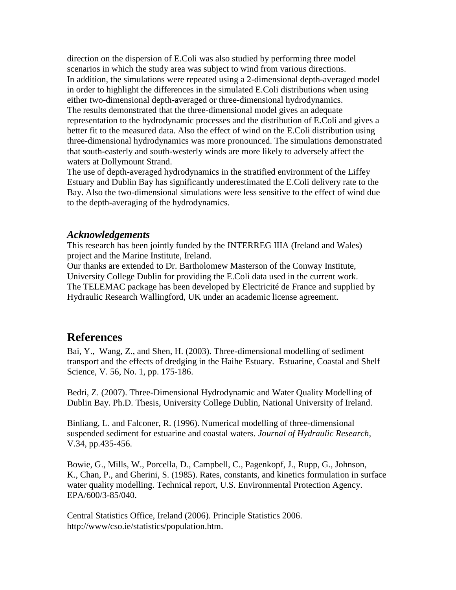direction on the dispersion of E.Coli was also studied by performing three model scenarios in which the study area was subject to wind from various directions. In addition, the simulations were repeated using a 2-dimensional depth-averaged model in order to highlight the differences in the simulated E.Coli distributions when using either two-dimensional depth-averaged or three-dimensional hydrodynamics. The results demonstrated that the three-dimensional model gives an adequate representation to the hydrodynamic processes and the distribution of E.Coli and gives a better fit to the measured data. Also the effect of wind on the E.Coli distribution using three-dimensional hydrodynamics was more pronounced. The simulations demonstrated that south-easterly and south-westerly winds are more likely to adversely affect the waters at Dollymount Strand.

The use of depth-averaged hydrodynamics in the stratified environment of the Liffey Estuary and Dublin Bay has significantly underestimated the E.Coli delivery rate to the Bay. Also the two-dimensional simulations were less sensitive to the effect of wind due to the depth-averaging of the hydrodynamics.

### *Acknowledgements*

This research has been jointly funded by the INTERREG IIIA (Ireland and Wales) project and the Marine Institute, Ireland.

Our thanks are extended to Dr. Bartholomew Masterson of the Conway Institute, University College Dublin for providing the E.Coli data used in the current work. The TELEMAC package has been developed by Electricité de France and supplied by Hydraulic Research Wallingford, UK under an academic license agreement.

## **References**

Bai, Y., Wang, Z., and Shen, H. (2003). Three-dimensional modelling of sediment transport and the effects of dredging in the Haihe Estuary. Estuarine, Coastal and Shelf Science, V. 56, No. 1, pp. 175-186.

Bedri, Z. (2007). Three-Dimensional Hydrodynamic and Water Quality Modelling of Dublin Bay. Ph.D. Thesis, University College Dublin, National University of Ireland.

Binliang, L. and Falconer, R. (1996). Numerical modelling of three-dimensional suspended sediment for estuarine and coastal waters. *Journal of Hydraulic Research*, V.34, pp.435-456.

Bowie, G., Mills, W., Porcella, D., Campbell, C., Pagenkopf, J., Rupp, G., Johnson, K., Chan, P., and Gherini, S. (1985). Rates, constants, and kinetics formulation in surface water quality modelling. Technical report, U.S. Environmental Protection Agency. EPA/600/3-85/040.

Central Statistics Office, Ireland (2006). Principle Statistics 2006. [http://www/cso.ie/statistics/population.htm.](http://www/cso.ie/statistics/population.htm)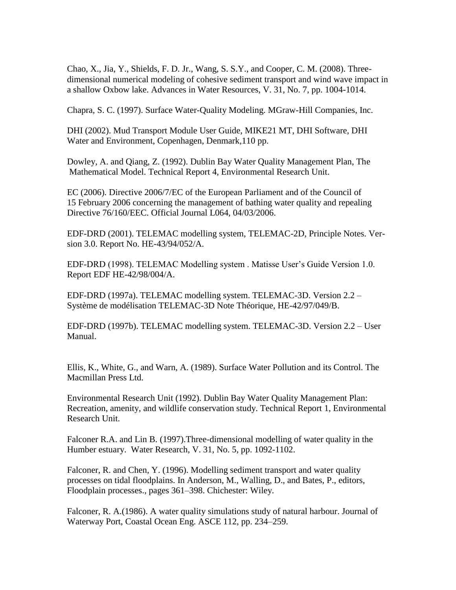Chao, X., Jia, Y., Shields, F. D. Jr., Wang, S. S.Y., and Cooper, C. M. (2008). Threedimensional numerical modeling of cohesive sediment transport and wind wave impact in a shallow Oxbow lake. Advances in Water Resources, V. 31, No. 7, pp. 1004-1014.

Chapra, S. C. (1997). Surface Water-Quality Modeling. MGraw-Hill Companies, Inc.

DHI (2002). Mud Transport Module User Guide, MIKE21 MT, DHI Software, DHI Water and Environment, Copenhagen, Denmark,110 pp.

Dowley, A. and Qiang, Z. (1992). Dublin Bay Water Quality Management Plan, The Mathematical Model. Technical Report 4, Environmental Research Unit.

EC (2006). Directive 2006/7/EC of the European Parliament and of the Council of 15 February 2006 concerning the management of bathing water quality and repealing Directive 76/160/EEC. Official Journal L064, 04/03/2006.

EDF-DRD (2001). TELEMAC modelling system, TELEMAC-2D, Principle Notes. Version 3.0. Report No. HE-43/94/052/A.

EDF-DRD (1998). TELEMAC Modelling system . Matisse User's Guide Version 1.0. Report EDF HE-42/98/004/A.

EDF-DRD (1997a). TELEMAC modelling system. TELEMAC-3D. Version 2.2 – Système de modélisation TELEMAC-3D Note Théorique, HE-42/97/049/B.

EDF-DRD (1997b). TELEMAC modelling system. TELEMAC-3D. Version 2.2 – User Manual.

Ellis, K., White, G., and Warn, A. (1989). Surface Water Pollution and its Control. The Macmillan Press Ltd.

Environmental Research Unit (1992). Dublin Bay Water Quality Management Plan: Recreation, amenity, and wildlife conservation study. Technical Report 1, Environmental Research Unit.

Falconer R.A. and Lin B. (1997).Three-dimensional modelling of water quality in the Humber estuary. [Water Research,](http://www.ingentaconnect.com/content/els/00431354;jsessionid=aod1auqujt8ht.victoria) V. 31, No. 5, pp. 1092-1102.

Falconer, R. and Chen, Y. (1996). Modelling sediment transport and water quality processes on tidal floodplains. In Anderson, M., Walling, D., and Bates, P., editors, Floodplain processes., pages 361–398. Chichester: Wiley.

Falconer, R. A.(1986). A water quality simulations study of natural harbour. Journal of Waterway Port, Coastal Ocean Eng. ASCE 112, pp. 234–259.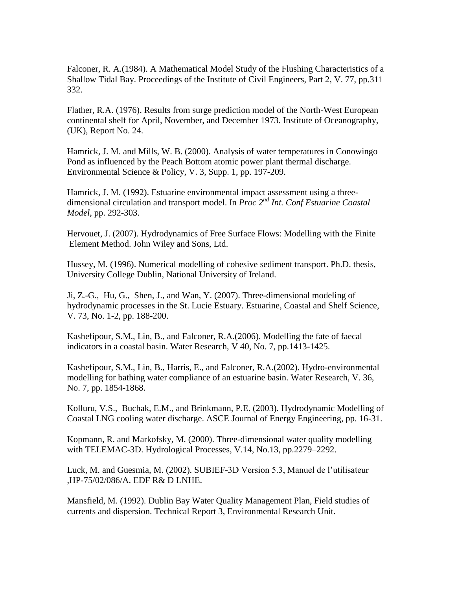Falconer, R. A.(1984). A Mathematical Model Study of the Flushing Characteristics of a Shallow Tidal Bay. Proceedings of the Institute of Civil Engineers, Part 2, V. 77, pp.311– 332.

Flather, R.A. (1976). Results from surge prediction model of the North-West European continental shelf for April, November, and December 1973. Institute of Oceanography, (UK), Report No. 24.

Hamrick, J. M. and Mills, W. B. (2000). Analysis of water temperatures in Conowingo Pond as influenced by the Peach Bottom atomic power plant thermal discharge. Environmental Science & Policy, V. 3, Supp. 1, pp. 197-209.

Hamrick, J. M. (1992). Estuarine environmental impact assessment using a threedimensional circulation and transport model. In *Proc 2nd Int. Conf Estuarine Coastal Model*, pp. 292-303.

Hervouet, J. (2007). Hydrodynamics of Free Surface Flows: Modelling with the Finite Element Method. John Wiley and Sons, Ltd.

Hussey, M. (1996). Numerical modelling of cohesive sediment transport. Ph.D. thesis, University College Dublin, National University of Ireland.

Ji, Z.-G., Hu, G., Shen, J., and Wan, Y. (2007). Three-dimensional modeling of hydrodynamic processes in the St. Lucie Estuary. Estuarine, Coastal and Shelf Science, V. 73, No. 1-2, pp. 188-200.

[Kashefipour, S.M.,](http://www.engineeringvillage2.org/controller/servlet/Controller?CID=quickSearchCitationFormat&searchWord1=%7bKashefipour%2C+S.M.%7d§ion1=AU&database=8193&yearselect=yearrange&sort=yr) [Lin, B.,](http://www.engineeringvillage2.org/controller/servlet/Controller?CID=quickSearchCitationFormat&searchWord1=%7bLin%2C+B.%7d§ion1=AU&database=8193&yearselect=yearrange&sort=yr) and [Falconer, R.A.\(](http://www.engineeringvillage2.org/controller/servlet/Controller?CID=quickSearchCitationFormat&searchWord1=%7bFalconer%2C+R.A.%7d§ion1=AU&database=8193&yearselect=yearrange&sort=yr)2006). Modelling the fate of faecal indicators in a coastal basin. Water Research, V 40, No. 7, pp.1413-1425.

[Kashefipour, S.M.,](http://www.engineeringvillage2.org/controller/servlet/Controller?CID=quickSearchCitationFormat&searchWord1=%7bKashefipour%2C+S.M.%7d§ion1=AU&database=8193&yearselect=yearrange&sort=yr) [Lin,](http://www.engineeringvillage2.org/controller/servlet/Controller?CID=quickSearchCitationFormat&searchWord1=%7bLin%2C+B.%7d§ion1=AU&database=8193&yearselect=yearrange&sort=yr) B., [Harris, E.,](http://www.engineeringvillage2.org/controller/servlet/Controller?CID=quickSearchCitationFormat&searchWord1=%7bHarris%2C+E.%7d§ion1=AU&database=8193&yearselect=yearrange&sort=yr) and [Falconer, R.A.\(](http://www.engineeringvillage2.org/controller/servlet/Controller?CID=quickSearchCitationFormat&searchWord1=%7bFalconer%2C+R.A.%7d§ion1=AU&database=8193&yearselect=yearrange&sort=yr)2002). Hydro-environmental modelling for bathing water compliance of an estuarine basin. Water Research, V. 36, No. 7, pp. 1854-1868.

Kolluru, V.S., Buchak, E.M., and Brinkmann, P.E. (2003). Hydrodynamic Modelling of Coastal LNG cooling water discharge. ASCE Journal of Energy Engineering, pp. 16-31.

Kopmann, R. and Markofsky, M. (2000). Three-dimensional water quality modelling with TELEMAC-3D. Hydrological Processes, V.14, No.13, pp.2279–2292.

Luck, M. and Guesmia, M. (2002). SUBIEF-3D Version 5.3, Manuel de l'utilisateur ,HP-75/02/086/A. EDF R& D LNHE.

Mansfield, M. (1992). Dublin Bay Water Quality Management Plan, Field studies of currents and dispersion. Technical Report 3, Environmental Research Unit.